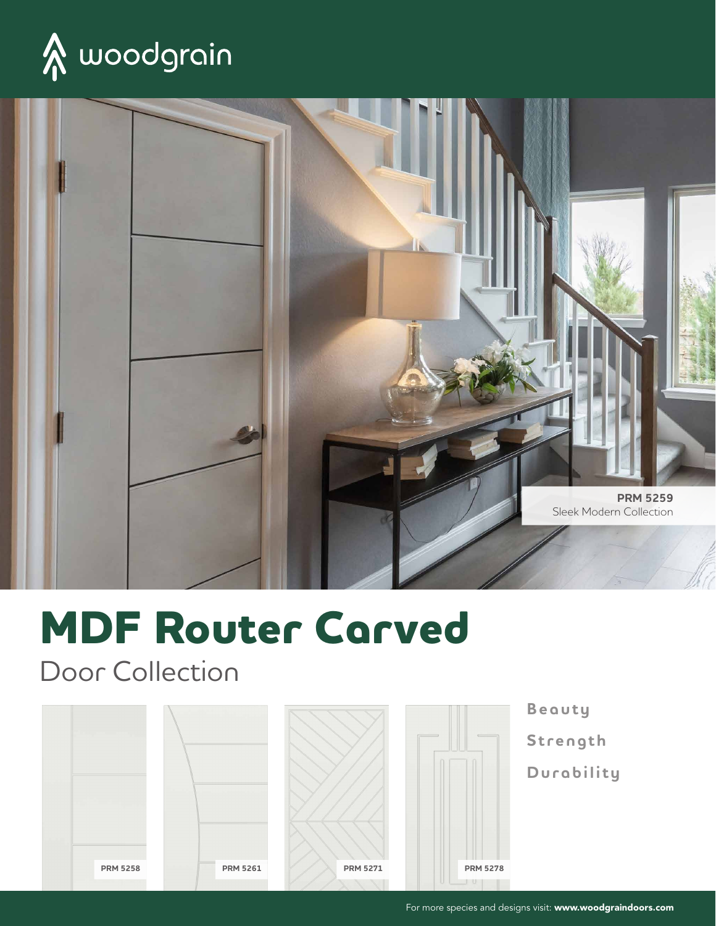



# **MDF Router Carved**

Door Collection







**Beauty Strength Durability**